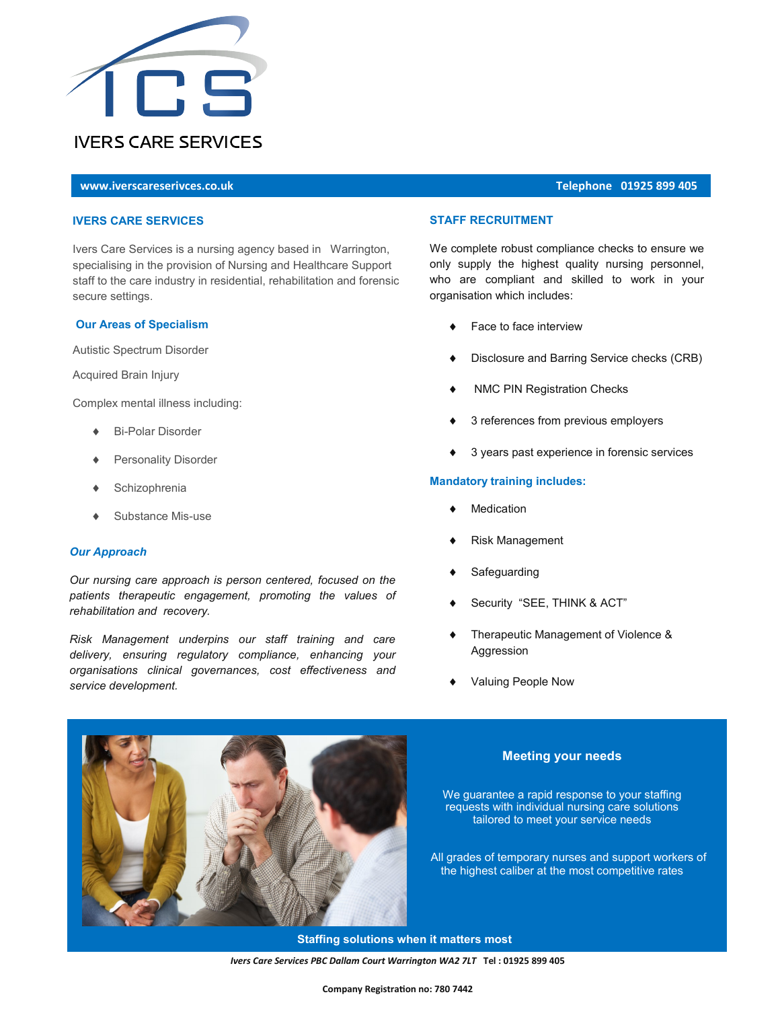

# **[www.iverscareserivces.co.uk](http://www.iverscareservices.co.uk/Why-Us.html) Telephone 01925 899 405**

#### **IVERS CARE SERVICES**

Ivers Care Services is a nursing agency based in Warrington, specialising in the provision of Nursing and Healthcare Support staff to the care industry in residential, rehabilitation and forensic secure settings.

#### **Our Areas of Specialism**

Autistic Spectrum Disorder

Acquired Brain Injury

Complex mental illness including:

- Bi-Polar Disorder
- Personality Disorder
- **Schizophrenia**
- Substance Mis-use

#### *Our Approach*

*Our nursing care approach is person centered, focused on the patients therapeutic engagement, promoting the values of rehabilitation and recovery.*

*Risk Management underpins our staff training and care delivery, ensuring regulatory compliance, enhancing your organisations clinical governances, cost effectiveness and service development.*

## **STAFF RECRUITMENT**

We complete robust compliance checks to ensure we only supply the highest quality nursing personnel, who are compliant and skilled to work in your organisation which includes:

- Face to face interview
- Disclosure and Barring Service checks (CRB)
- NMC PIN Registration Checks
- 3 references from previous employers
- 3 years past experience in forensic services

#### **Mandatory training includes:**

- Medication
- Risk Management
- Safeguarding
- Security "SEE, THINK & ACT"
- Therapeutic Management of Violence & Aggression
- Valuing People Now



## **Meeting your needs**

We guarantee a rapid response to your staffing requests with individual nursing care solutions tailored to meet your service needs

 All grades of temporary nurses and support workers of the highest caliber at the most competitive rates

 **Staffing solutions when it matters most**

*Ivers Care Services PBC Dallam Court Warrington WA2 7LT* **Tel : 01925 899 405**